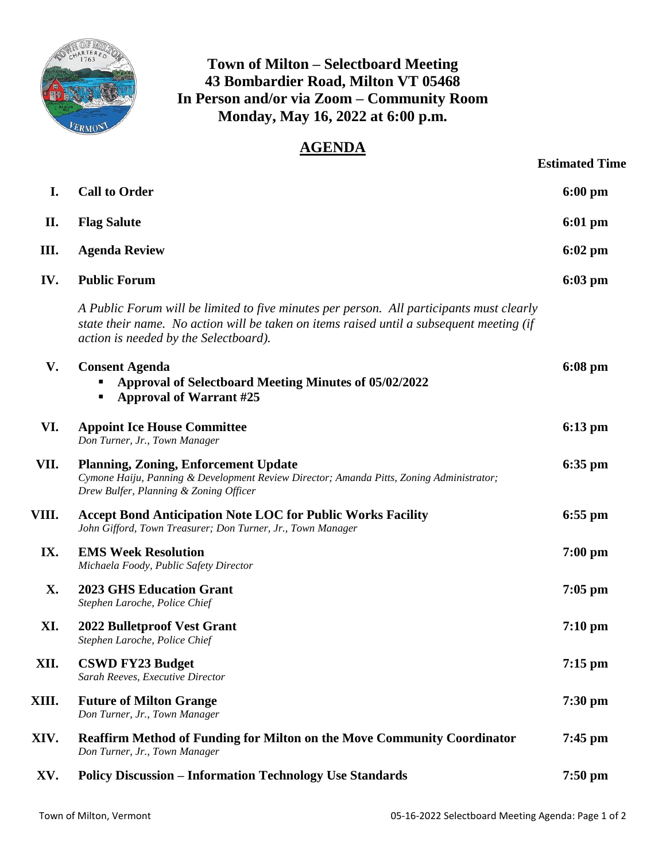

## **Town of Milton – Selectboard Meeting 43 Bombardier Road, Milton VT 05468 In Person and/or via Zoom – Community Room Monday, May 16, 2022 at 6:00 p.m.**

## **AGENDA**

|       |                                                                                                                                                                                                                               | <b>Estimated Time</b> |
|-------|-------------------------------------------------------------------------------------------------------------------------------------------------------------------------------------------------------------------------------|-----------------------|
| I.    | <b>Call to Order</b>                                                                                                                                                                                                          | $6:00$ pm             |
| П.    | <b>Flag Salute</b>                                                                                                                                                                                                            | $6:01$ pm             |
| Ш.    | <b>Agenda Review</b>                                                                                                                                                                                                          | $6:02 \text{ pm}$     |
| IV.   | <b>Public Forum</b>                                                                                                                                                                                                           | $6:03$ pm             |
|       | A Public Forum will be limited to five minutes per person. All participants must clearly<br>state their name. No action will be taken on items raised until a subsequent meeting (if<br>action is needed by the Selectboard). |                       |
| V.    | <b>Consent Agenda</b><br><b>Approval of Selectboard Meeting Minutes of 05/02/2022</b><br><b>Approval of Warrant #25</b><br>٠                                                                                                  | $6:08 \text{ pm}$     |
| VI.   | <b>Appoint Ice House Committee</b><br>Don Turner, Jr., Town Manager                                                                                                                                                           | $6:13$ pm             |
| VII.  | <b>Planning, Zoning, Enforcement Update</b><br>Cymone Haiju, Panning & Development Review Director; Amanda Pitts, Zoning Administrator;<br>Drew Bulfer, Planning & Zoning Officer                                             | $6:35$ pm             |
| VIII. | <b>Accept Bond Anticipation Note LOC for Public Works Facility</b><br>John Gifford, Town Treasurer; Don Turner, Jr., Town Manager                                                                                             | $6:55$ pm             |
| IX.   | <b>EMS Week Resolution</b><br>Michaela Foody, Public Safety Director                                                                                                                                                          | $7:00$ pm             |
| X.    | <b>2023 GHS Education Grant</b><br>Stephen Laroche, Police Chief                                                                                                                                                              | $7:05$ pm             |
| XI.   | <b>2022 Bulletproof Vest Grant</b><br>Stephen Laroche, Police Chief                                                                                                                                                           | $7:10 \text{ pm}$     |
| XII.  | <b>CSWD FY23 Budget</b><br>Sarah Reeves, Executive Director                                                                                                                                                                   | $7:15$ pm             |
| XIII. | <b>Future of Milton Grange</b><br>Don Turner, Jr., Town Manager                                                                                                                                                               | $7:30$ pm             |
| XIV.  | <b>Reaffirm Method of Funding for Milton on the Move Community Coordinator</b><br>Don Turner, Jr., Town Manager                                                                                                               | $7:45$ pm             |
| XV.   | <b>Policy Discussion - Information Technology Use Standards</b>                                                                                                                                                               | $7:50 \text{ pm}$     |